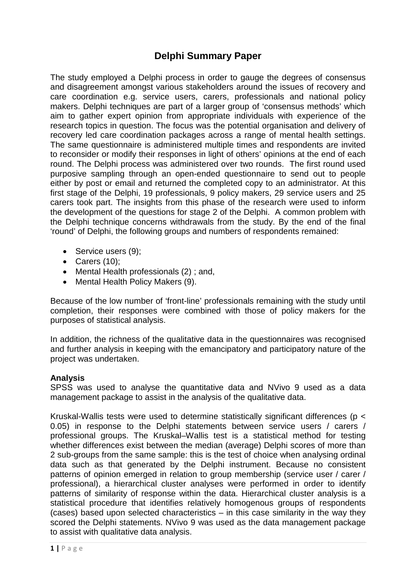# **Delphi Summary Paper**

The study employed a Delphi process in order to gauge the degrees of consensus and disagreement amongst various stakeholders around the issues of recovery and care coordination e.g. service users, carers, professionals and national policy makers. Delphi techniques are part of a larger group of 'consensus methods' which aim to gather expert opinion from appropriate individuals with experience of the research topics in question. The focus was the potential organisation and delivery of recovery led care coordination packages across a range of mental health settings. The same questionnaire is administered multiple times and respondents are invited to reconsider or modify their responses in light of others' opinions at the end of each round. The Delphi process was administered over two rounds. The first round used purposive sampling through an open-ended questionnaire to send out to people either by post or email and returned the completed copy to an administrator. At this first stage of the Delphi, 19 professionals, 9 policy makers, 29 service users and 25 carers took part. The insights from this phase of the research were used to inform the development of the questions for stage 2 of the Delphi. A common problem with the Delphi technique concerns withdrawals from the study. By the end of the final 'round' of Delphi, the following groups and numbers of respondents remained:

- Service users (9);
- Carers (10);
- Mental Health professionals (2) ; and,
- Mental Health Policy Makers (9).

Because of the low number of 'front-line' professionals remaining with the study until completion, their responses were combined with those of policy makers for the purposes of statistical analysis.

In addition, the richness of the qualitative data in the questionnaires was recognised and further analysis in keeping with the emancipatory and participatory nature of the project was undertaken.

#### **Analysis**

SPSS was used to analyse the quantitative data and NVivo 9 used as a data management package to assist in the analysis of the qualitative data.

Kruskal-Wallis tests were used to determine statistically significant differences (p < 0.05) in response to the Delphi statements between service users / carers / professional groups. The Kruskal–Wallis test is a statistical method for testing whether differences exist between the median (average) Delphi scores of more than 2 sub-groups from the same sample: this is the test of choice when analysing ordinal data such as that generated by the Delphi instrument. Because no consistent patterns of opinion emerged in relation to group membership (service user / carer / professional), a hierarchical cluster analyses were performed in order to identify patterns of similarity of response within the data. Hierarchical cluster analysis is a statistical procedure that identifies relatively homogenous groups of respondents (cases) based upon selected characteristics – in this case similarity in the way they scored the Delphi statements. NVivo 9 was used as the data management package to assist with qualitative data analysis.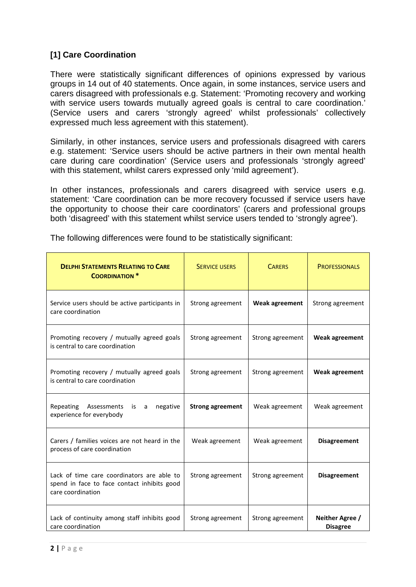# **[1] Care Coordination**

There were statistically significant differences of opinions expressed by various groups in 14 out of 40 statements. Once again, in some instances, service users and carers disagreed with professionals e.g. Statement: 'Promoting recovery and working with service users towards mutually agreed goals is central to care coordination. (Service users and carers 'strongly agreed' whilst professionals' collectively expressed much less agreement with this statement).

Similarly, in other instances, service users and professionals disagreed with carers e.g. statement: 'Service users should be active partners in their own mental health care during care coordination' (Service users and professionals 'strongly agreed' with this statement, whilst carers expressed only 'mild agreement').

In other instances, professionals and carers disagreed with service users e.g. statement: 'Care coordination can be more recovery focussed if service users have the opportunity to choose their care coordinators' (carers and professional groups both 'disagreed' with this statement whilst service users tended to 'strongly agree').

| <b>DELPHI STATEMENTS RELATING TO CARE</b><br><b>COORDINATION *</b>                                             | <b>SERVICE USERS</b>    | <b>CARERS</b>    | <b>PROFESSIONALS</b>               |
|----------------------------------------------------------------------------------------------------------------|-------------------------|------------------|------------------------------------|
| Service users should be active participants in<br>care coordination                                            | Strong agreement        | Weak agreement   | Strong agreement                   |
| Promoting recovery / mutually agreed goals<br>is central to care coordination                                  | Strong agreement        | Strong agreement | <b>Weak agreement</b>              |
| Promoting recovery / mutually agreed goals<br>is central to care coordination                                  | Strong agreement        | Strong agreement | <b>Weak agreement</b>              |
| Assessments<br>Repeating<br>is a<br>negative<br>experience for everybody                                       | <b>Strong agreement</b> | Weak agreement   | Weak agreement                     |
| Carers / families voices are not heard in the<br>process of care coordination                                  | Weak agreement          | Weak agreement   | <b>Disagreement</b>                |
| Lack of time care coordinators are able to<br>spend in face to face contact inhibits good<br>care coordination | Strong agreement        | Strong agreement | <b>Disagreement</b>                |
| Lack of continuity among staff inhibits good<br>care coordination                                              | Strong agreement        | Strong agreement | Neither Agree /<br><b>Disagree</b> |

The following differences were found to be statistically significant: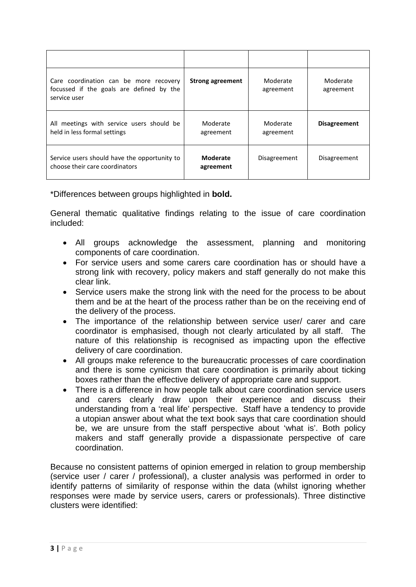| Care coordination can be more recovery<br>focussed if the goals are defined by the<br>service user | <b>Strong agreement</b>      | Moderate<br>agreement | Moderate<br>agreement |
|----------------------------------------------------------------------------------------------------|------------------------------|-----------------------|-----------------------|
| All meetings with service users should be<br>held in less formal settings                          | Moderate<br>agreement        | Moderate<br>agreement | <b>Disagreement</b>   |
| Service users should have the opportunity to<br>choose their care coordinators                     | <b>Moderate</b><br>agreement | Disagreement          | Disagreement          |

\*Differences between groups highlighted in **bold.**

General thematic qualitative findings relating to the issue of care coordination included:

- All groups acknowledge the assessment, planning and monitoring components of care coordination.
- For service users and some carers care coordination has or should have a strong link with recovery, policy makers and staff generally do not make this clear link.
- Service users make the strong link with the need for the process to be about them and be at the heart of the process rather than be on the receiving end of the delivery of the process.
- The importance of the relationship between service user/ carer and care coordinator is emphasised, though not clearly articulated by all staff. The nature of this relationship is recognised as impacting upon the effective delivery of care coordination.
- All groups make reference to the bureaucratic processes of care coordination and there is some cynicism that care coordination is primarily about ticking boxes rather than the effective delivery of appropriate care and support.
- There is a difference in how people talk about care coordination service users and carers clearly draw upon their experience and discuss their understanding from a 'real life' perspective. Staff have a tendency to provide a utopian answer about what the text book says that care coordination should be, we are unsure from the staff perspective about 'what is'. Both policy makers and staff generally provide a dispassionate perspective of care coordination.

Because no consistent patterns of opinion emerged in relation to group membership (service user / carer / professional), a cluster analysis was performed in order to identify patterns of similarity of response within the data (whilst ignoring whether responses were made by service users, carers or professionals). Three distinctive clusters were identified: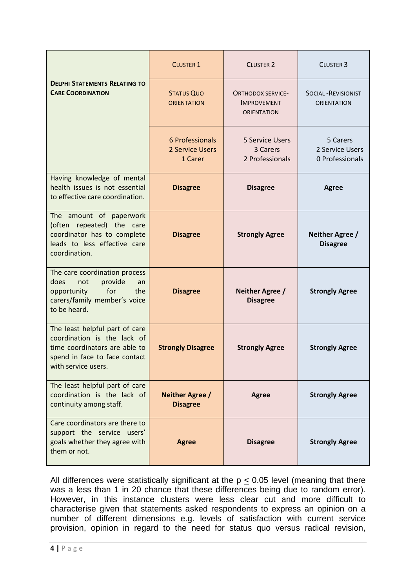|                                                                                                                                                        | <b>CLUSTER 1</b>                              | <b>CLUSTER 2</b>                                                     | <b>CLUSTER 3</b>                                  |
|--------------------------------------------------------------------------------------------------------------------------------------------------------|-----------------------------------------------|----------------------------------------------------------------------|---------------------------------------------------|
| <b>DELPHI STATEMENTS RELATING TO</b><br><b>CARE COORDINATION</b>                                                                                       | <b>STATUS QUO</b><br><b>ORIENTATION</b>       | <b>ORTHODOX SERVICE-</b><br><b>IMPROVEMENT</b><br><b>ORIENTATION</b> | <b>SOCIAL - REVISIONIST</b><br><b>ORIENTATION</b> |
|                                                                                                                                                        | 6 Professionals<br>2 Service Users<br>1 Carer | <b>5 Service Users</b><br>3 Carers<br>2 Professionals                | 5 Carers<br>2 Service Users<br>0 Professionals    |
| Having knowledge of mental<br>health issues is not essential<br>to effective care coordination.                                                        | <b>Disagree</b>                               | <b>Disagree</b>                                                      | <b>Agree</b>                                      |
| The amount of paperwork<br>(often repeated) the care<br>coordinator has to complete<br>leads to less effective care<br>coordination.                   | <b>Disagree</b>                               | <b>Strongly Agree</b>                                                | Neither Agree /<br><b>Disagree</b>                |
| The care coordination process<br>provide<br>does<br>not<br>an<br>for<br>opportunity<br>the<br>carers/family member's voice<br>to be heard.             | <b>Disagree</b>                               | <b>Neither Agree /</b><br><b>Disagree</b>                            | <b>Strongly Agree</b>                             |
| The least helpful part of care<br>coordination is the lack of<br>time coordinators are able to<br>spend in face to face contact<br>with service users. | <b>Strongly Disagree</b>                      | <b>Strongly Agree</b>                                                | <b>Strongly Agree</b>                             |
| The least helpful part of care<br>coordination is the lack of<br>continuity among staff.                                                               | Neither Agree /<br><b>Disagree</b>            | <b>Agree</b>                                                         | <b>Strongly Agree</b>                             |
| Care coordinators are there to<br>support the service users'<br>goals whether they agree with<br>them or not.                                          | <b>Agree</b>                                  | <b>Disagree</b>                                                      | <b>Strongly Agree</b>                             |

All differences were statistically significant at the  $p \le 0.05$  level (meaning that there was a less than 1 in 20 chance that these differences being due to random error). However, in this instance clusters were less clear cut and more difficult to characterise given that statements asked respondents to express an opinion on a number of different dimensions e.g. levels of satisfaction with current service provision, opinion in regard to the need for status quo versus radical revision,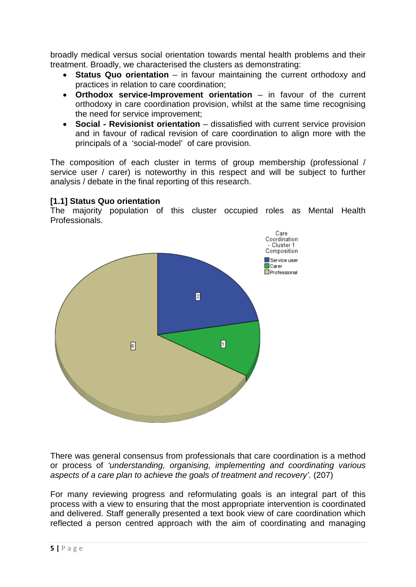broadly medical versus social orientation towards mental health problems and their treatment. Broadly, we characterised the clusters as demonstrating:

- **Status Quo orientation** in favour maintaining the current orthodoxy and practices in relation to care coordination;
- **Orthodox service-Improvement orientation** in favour of the current orthodoxy in care coordination provision, whilst at the same time recognising the need for service improvement;
- **Social - Revisionist orientation** dissatisfied with current service provision and in favour of radical revision of care coordination to align more with the principals of a 'social-model' of care provision.

The composition of each cluster in terms of group membership (professional / service user / carer) is noteworthy in this respect and will be subject to further analysis / debate in the final reporting of this research.

### **[1.1] Status Quo orientation**

The majority population of this cluster occupied roles as Mental Health Professionals.



There was general consensus from professionals that care coordination is a method or process of *'understanding, organising, implementing and coordinating various aspects of a care plan to achieve the goals of treatment and recovery'*. (207)

For many reviewing progress and reformulating goals is an integral part of this process with a view to ensuring that the most appropriate intervention is coordinated and delivered. Staff generally presented a text book view of care coordination which reflected a person centred approach with the aim of coordinating and managing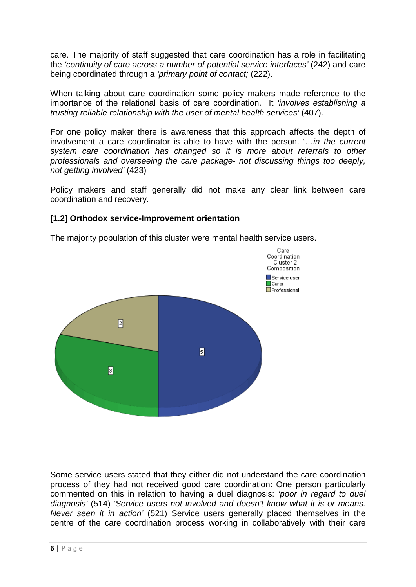care. The majority of staff suggested that care coordination has a role in facilitating the *'continuity of care across a number of potential service interfaces'* (242) and care being coordinated through a *'primary point of contact;* (222).

When talking about care coordination some policy makers made reference to the importance of the relational basis of care coordination. It *'involves establishing a trusting reliable relationship with the user of mental health services'* (407).

For one policy maker there is awareness that this approach affects the depth of involvement a care coordinator is able to have with the person. '*…in the current system care coordination has changed so it is more about referrals to other professionals and overseeing the care package- not discussing things too deeply, not getting involved'* (423)

Policy makers and staff generally did not make any clear link between care coordination and recovery.

### **[1.2] Orthodox service-Improvement orientation**

The majority population of this cluster were mental health service users.



Some service users stated that they either did not understand the care coordination process of they had not received good care coordination: One person particularly commented on this in relation to having a duel diagnosis: *'poor in regard to duel diagnosis'* (514) *'Service users not involved and doesn't know what it is or means. Never seen it in action'* (521) Service users generally placed themselves in the centre of the care coordination process working in collaboratively with their care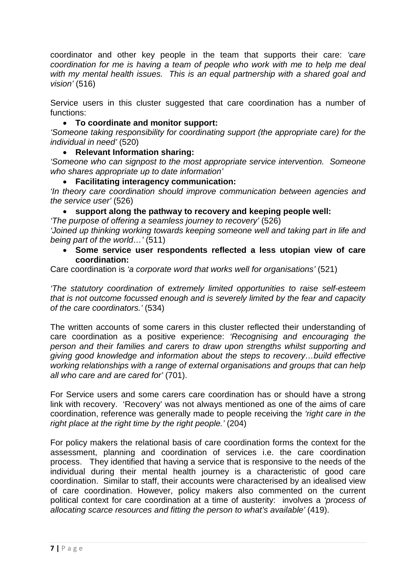coordinator and other key people in the team that supports their care: *'care coordination for me is having a team of people who work with me to help me deal with my mental health issues. This is an equal partnership with a shared goal and vision'* (516)

Service users in this cluster suggested that care coordination has a number of functions:

### • **To coordinate and monitor support:**

*'Someone taking responsibility for coordinating support (the appropriate care) for the individual in need'* (520)

### • **Relevant Information sharing:**

*'Someone who can signpost to the most appropriate service intervention. Someone who shares appropriate up to date information'*

#### • **Facilitating interagency communication:**

*'In theory care coordination should improve communication between agencies and the service user'* (526)

### • **support along the pathway to recovery and keeping people well:**

*'The purpose of offering a seamless journey to recovery'* (526) *'Joined up thinking working towards keeping someone well and taking part in life and being part of the world…'* (511)

• **Some service user respondents reflected a less utopian view of care coordination:**

Care coordination is *'a corporate word that works well for organisations'* (521)

*'The statutory coordination of extremely limited opportunities to raise self-esteem that is not outcome focussed enough and is severely limited by the fear and capacity of the care coordinators.'* (534)

The written accounts of some carers in this cluster reflected their understanding of care coordination as a positive experience: *'Recognising and encouraging the person and their families and carers to draw upon strengths whilst supporting and giving good knowledge and information about the steps to recovery…build effective working relationships with a range of external organisations and groups that can help all who care and are cared for'* (701).

For Service users and some carers care coordination has or should have a strong link with recovery. 'Recovery' was not always mentioned as one of the aims of care coordination, reference was generally made to people receiving the *'right care in the right place at the right time by the right people.'* (204)

For policy makers the relational basis of care coordination forms the context for the assessment, planning and coordination of services i.e. the care coordination process. They identified that having a service that is responsive to the needs of the individual during their mental health journey is a characteristic of good care coordination. Similar to staff, their accounts were characterised by an idealised view of care coordination. However, policy makers also commented on the current political context for care coordination at a time of austerity: involves a *'process of allocating scarce resources and fitting the person to what's available'* (419).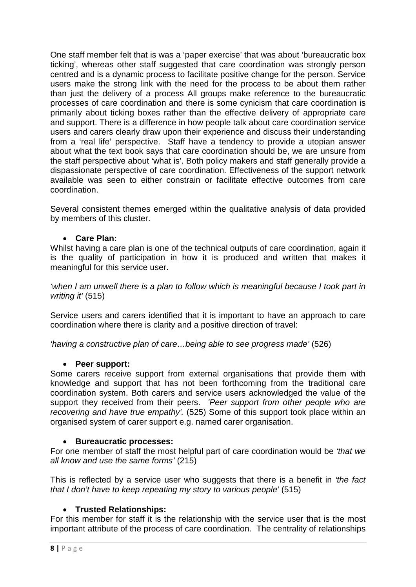One staff member felt that is was a 'paper exercise' that was about 'bureaucratic box ticking', whereas other staff suggested that care coordination was strongly person centred and is a dynamic process to facilitate positive change for the person. Service users make the strong link with the need for the process to be about them rather than just the delivery of a process All groups make reference to the bureaucratic processes of care coordination and there is some cynicism that care coordination is primarily about ticking boxes rather than the effective delivery of appropriate care and support. There is a difference in how people talk about care coordination service users and carers clearly draw upon their experience and discuss their understanding from a 'real life' perspective. Staff have a tendency to provide a utopian answer about what the text book says that care coordination should be, we are unsure from the staff perspective about 'what is'. Both policy makers and staff generally provide a dispassionate perspective of care coordination. Effectiveness of the support network available was seen to either constrain or facilitate effective outcomes from care coordination.

Several consistent themes emerged within the qualitative analysis of data provided by members of this cluster.

### • **Care Plan:**

Whilst having a care plan is one of the technical outputs of care coordination, again it is the quality of participation in how it is produced and written that makes it meaningful for this service user.

*'when I am unwell there is a plan to follow which is meaningful because I took part in writing it'* (515)

Service users and carers identified that it is important to have an approach to care coordination where there is clarity and a positive direction of travel:

*'having a constructive plan of care…being able to see progress made'* (526)

#### • **Peer support:**

Some carers receive support from external organisations that provide them with knowledge and support that has not been forthcoming from the traditional care coordination system. Both carers and service users acknowledged the value of the support they received from their peers. *'Peer support from other people who are recovering and have true empathy'.* (525) Some of this support took place within an organised system of carer support e.g. named carer organisation.

#### • **Bureaucratic processes:**

For one member of staff the most helpful part of care coordination would be *'that we all know and use the same forms'* (215)

This is reflected by a service user who suggests that there is a benefit in *'the fact that I don't have to keep repeating my story to various people'* (515)

# • **Trusted Relationships:**

For this member for staff it is the relationship with the service user that is the most important attribute of the process of care coordination. The centrality of relationships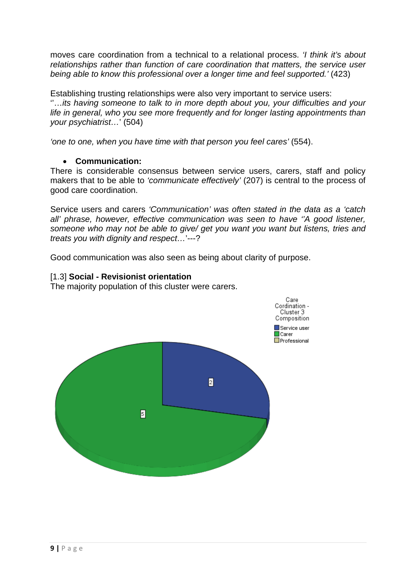moves care coordination from a technical to a relational process. *'I think it's about relationships rather than function of care coordination that matters, the service user being able to know this professional over a longer time and feel supported.'* (423)

Establishing trusting relationships were also very important to service users: ''…*its having someone to talk to in more depth about you, your difficulties and your life in general, who you see more frequently and for longer lasting appointments than your psychiatrist…*' (504)

*'one to one, when you have time with that person you feel cares'* (554).

# • **Communication:**

There is considerable consensus between service users, carers, staff and policy makers that to be able to *'communicate effectively'* (207) is central to the process of good care coordination.

Service users and carers *'Communication' was often stated in the data as a 'catch all' phrase, however, effective communication was seen to have ''A good listener, someone who may not be able to give/ get you want you want but listens, tries and treats you with dignity and respect…*'---?

Good communication was also seen as being about clarity of purpose.

# [1.3] **Social - Revisionist orientation**

The majority population of this cluster were carers.

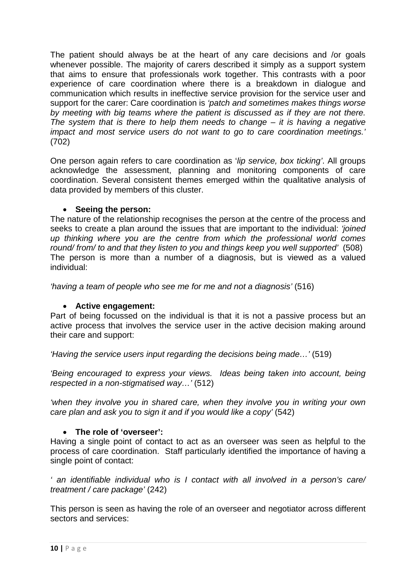The patient should always be at the heart of any care decisions and /or goals whenever possible. The majority of carers described it simply as a support system that aims to ensure that professionals work together. This contrasts with a poor experience of care coordination where there is a breakdown in dialogue and communication which results in ineffective service provision for the service user and support for the carer: Care coordination is *'patch and sometimes makes things worse by meeting with big teams where the patient is discussed as if they are not there. The system that is there to help them needs to change – it is having a negative impact and most service users do not want to go to care coordination meetings.'* (702)

One person again refers to care coordination as '*lip service, box ticking'*. All groups acknowledge the assessment, planning and monitoring components of care coordination. Several consistent themes emerged within the qualitative analysis of data provided by members of this cluster.

### • **Seeing the person:**

The nature of the relationship recognises the person at the centre of the process and seeks to create a plan around the issues that are important to the individual: *'joined up thinking where you are the centre from which the professional world comes round/ from/ to and that they listen to you and things keep you well supported'* (508) The person is more than a number of a diagnosis, but is viewed as a valued individual:

*'having a team of people who see me for me and not a diagnosis'* (516)

# • **Active engagement:**

Part of being focussed on the individual is that it is not a passive process but an active process that involves the service user in the active decision making around their care and support:

*'Having the service users input regarding the decisions being made…'* (519)

*'Being encouraged to express your views. Ideas being taken into account, being respected in a non-stigmatised way…'* (512)

*'when they involve you in shared care, when they involve you in writing your own care plan and ask you to sign it and if you would like a copy'* (542)

# • **The role of 'overseer':**

Having a single point of contact to act as an overseer was seen as helpful to the process of care coordination. Staff particularly identified the importance of having a single point of contact:

*' an identifiable individual who is I contact with all involved in a person's care/ treatment / care package'* (242)

This person is seen as having the role of an overseer and negotiator across different sectors and services: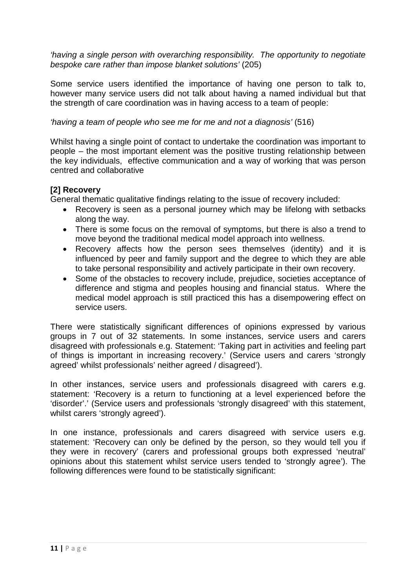*'having a single person with overarching responsibility. The opportunity to negotiate bespoke care rather than impose blanket solutions'* (205)

Some service users identified the importance of having one person to talk to, however many service users did not talk about having a named individual but that the strength of care coordination was in having access to a team of people:

*'having a team of people who see me for me and not a diagnosis'* (516)

Whilst having a single point of contact to undertake the coordination was important to people – the most important element was the positive trusting relationship between the key individuals, effective communication and a way of working that was person centred and collaborative

# **[2] Recovery**

General thematic qualitative findings relating to the issue of recovery included:

- Recovery is seen as a personal journey which may be lifelong with setbacks along the way.
- There is some focus on the removal of symptoms, but there is also a trend to move beyond the traditional medical model approach into wellness.
- Recovery affects how the person sees themselves (identity) and it is influenced by peer and family support and the degree to which they are able to take personal responsibility and actively participate in their own recovery.
- Some of the obstacles to recovery include, prejudice, societies acceptance of difference and stigma and peoples housing and financial status. Where the medical model approach is still practiced this has a disempowering effect on service users.

There were statistically significant differences of opinions expressed by various groups in 7 out of 32 statements. In some instances, service users and carers disagreed with professionals e.g. Statement: 'Taking part in activities and feeling part of things is important in increasing recovery.' (Service users and carers 'strongly agreed' whilst professionals' neither agreed / disagreed').

In other instances, service users and professionals disagreed with carers e.g. statement: 'Recovery is a return to functioning at a level experienced before the 'disorder'.' (Service users and professionals 'strongly disagreed' with this statement, whilst carers 'strongly agreed').

In one instance, professionals and carers disagreed with service users e.g. statement: 'Recovery can only be defined by the person, so they would tell you if they were in recovery' (carers and professional groups both expressed 'neutral' opinions about this statement whilst service users tended to 'strongly agree'). The following differences were found to be statistically significant: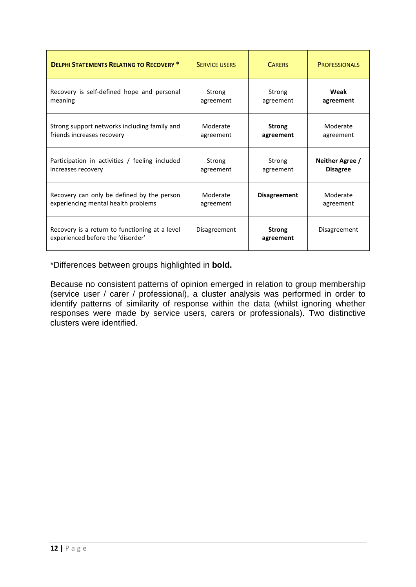| <b>DELPHI STATEMENTS RELATING TO RECOVERY *</b>                                     | <b>SERVICE USERS</b> | <b>CARERS</b>              | <b>PROFESSIONALS</b> |
|-------------------------------------------------------------------------------------|----------------------|----------------------------|----------------------|
| Recovery is self-defined hope and personal                                          | Strong               | Strong                     | Weak                 |
| meaning                                                                             | agreement            | agreement                  | agreement            |
| Strong support networks including family and                                        | Moderate             | <b>Strong</b>              | Moderate             |
| friends increases recovery                                                          | agreement            | agreement                  | agreement            |
| Participation in activities / feeling included                                      | Strong               | Strong                     | Neither Agree /      |
| increases recovery                                                                  | agreement            | agreement                  | <b>Disagree</b>      |
| Recovery can only be defined by the person                                          | Moderate             | <b>Disagreement</b>        | Moderate             |
| experiencing mental health problems                                                 | agreement            |                            | agreement            |
| Recovery is a return to functioning at a level<br>experienced before the 'disorder' | Disagreement         | <b>Strong</b><br>agreement | Disagreement         |

\*Differences between groups highlighted in **bold.**

Because no consistent patterns of opinion emerged in relation to group membership (service user / carer / professional), a cluster analysis was performed in order to identify patterns of similarity of response within the data (whilst ignoring whether responses were made by service users, carers or professionals). Two distinctive clusters were identified.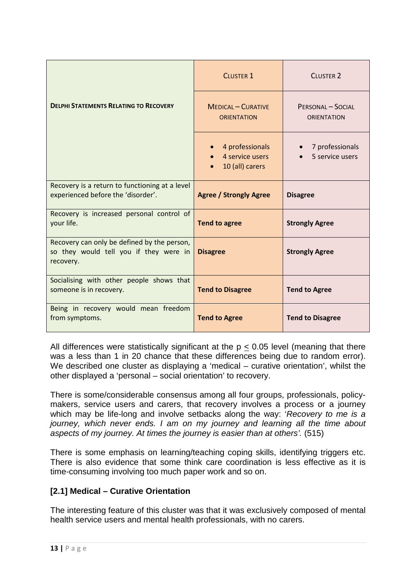|                                                                                                    | <b>CLUSTER 1</b>                                      | <b>CLUSTER 2</b>                        |
|----------------------------------------------------------------------------------------------------|-------------------------------------------------------|-----------------------------------------|
| <b>DELPHI STATEMENTS RELATING TO RECOVERY</b>                                                      | <b>MEDICAL - CURATIVE</b><br><b>ORIENTATION</b>       | PERSONAL - SOCIAL<br><b>ORIENTATION</b> |
|                                                                                                    | 4 professionals<br>4 service users<br>10 (all) carers | 7 professionals<br>5 service users      |
| Recovery is a return to functioning at a level<br>experienced before the 'disorder'.               | <b>Agree / Strongly Agree</b>                         | <b>Disagree</b>                         |
| Recovery is increased personal control of<br>your life.                                            | <b>Tend to agree</b>                                  | <b>Strongly Agree</b>                   |
| Recovery can only be defined by the person,<br>so they would tell you if they were in<br>recovery. | <b>Disagree</b>                                       | <b>Strongly Agree</b>                   |
| Socialising with other people shows that<br>someone is in recovery.                                | <b>Tend to Disagree</b>                               | <b>Tend to Agree</b>                    |
| Being in recovery would mean freedom<br>from symptoms.                                             | <b>Tend to Agree</b>                                  | <b>Tend to Disagree</b>                 |

All differences were statistically significant at the  $p < 0.05$  level (meaning that there was a less than 1 in 20 chance that these differences being due to random error). We described one cluster as displaying a 'medical – curative orientation', whilst the other displayed a 'personal – social orientation' to recovery.

There is some/considerable consensus among all four groups, professionals, policymakers, service users and carers, that recovery involves a process or a journey which may be life-long and involve setbacks along the way: '*Recovery to me is a journey, which never ends. I am on my journey and learning all the time about aspects of my journey. At times the journey is easier than at others'.* (515)

There is some emphasis on learning/teaching coping skills, identifying triggers etc. There is also evidence that some think care coordination is less effective as it is time-consuming involving too much paper work and so on.

# **[2.1] Medical – Curative Orientation**

The interesting feature of this cluster was that it was exclusively composed of mental health service users and mental health professionals, with no carers.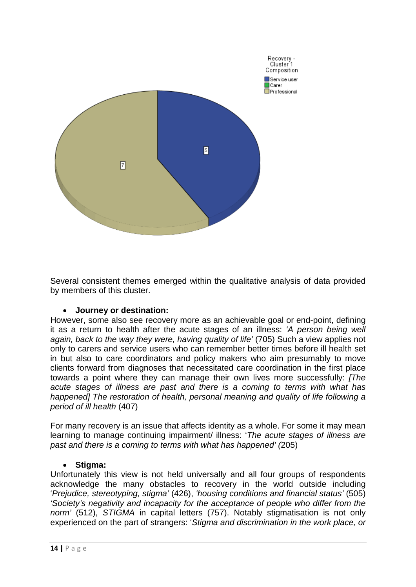

Several consistent themes emerged within the qualitative analysis of data provided by members of this cluster.

#### • **Journey or destination:**

However, some also see recovery more as an achievable goal or end-point, defining it as a return to health after the acute stages of an illness: *'A person being well again, back to the way they were, having quality of life' (705)* Such a view applies not only to carers and service users who can remember better times before ill health set in but also to care coordinators and policy makers who aim presumably to move clients forward from diagnoses that necessitated care coordination in the first place towards a point where they can manage their own lives more successfully: *[The acute stages of illness are past and there is a coming to terms with what has happened] The restoration of health, personal meaning and quality of life following a period of ill health* (407)

For many recovery is an issue that affects identity as a whole. For some it may mean learning to manage continuing impairment/ illness: '*The acute stages of illness are past and there is a coming to terms with what has happened' (*205)

#### • **Stigma:**

Unfortunately this view is not held universally and all four groups of respondents acknowledge the many obstacles to recovery in the world outside including '*Prejudice, stereotyping, stigma'* (426), *'housing conditions and financial status'* (505) *'Society's negativity and incapacity for the acceptance of people who differ from the norm'* (512), *STIGMA* in capital letters (757). Notably stigmatisation is not only experienced on the part of strangers: '*Stigma and discrimination in the work place, or*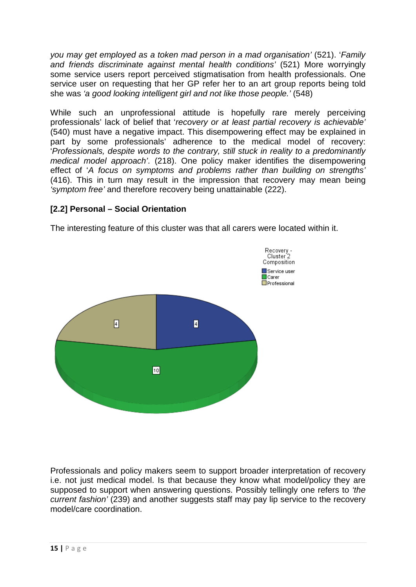*you may get employed as a token mad person in a mad organisation'* (521). '*Family and friends discriminate against mental health conditions'* (521) More worryingly some service users report perceived stigmatisation from health professionals. One service user on requesting that her GP refer her to an art group reports being told she was *'a good looking intelligent girl and not like those people.'* (548)

While such an unprofessional attitude is hopefully rare merely perceiving professionals' lack of belief that '*recovery or at least partial recovery is achievable'* (540) must have a negative impact. This disempowering effect may be explained in part by some professionals' adherence to the medical model of recovery: '*Professionals, despite words to the contrary, still stuck in reality to a predominantly medical model approach'*. (218). One policy maker identifies the disempowering effect of '*A focus on symptoms and problems rather than building on strengths'* (416). This in turn may result in the impression that recovery may mean being *'symptom free'* and therefore recovery being unattainable (222).

# **[2.2] Personal – Social Orientation**

The interesting feature of this cluster was that all carers were located within it.



Professionals and policy makers seem to support broader interpretation of recovery i.e. not just medical model. Is that because they know what model/policy they are supposed to support when answering questions. Possibly tellingly one refers to *'the current fashion'* (239) and another suggests staff may pay lip service to the recovery model/care coordination.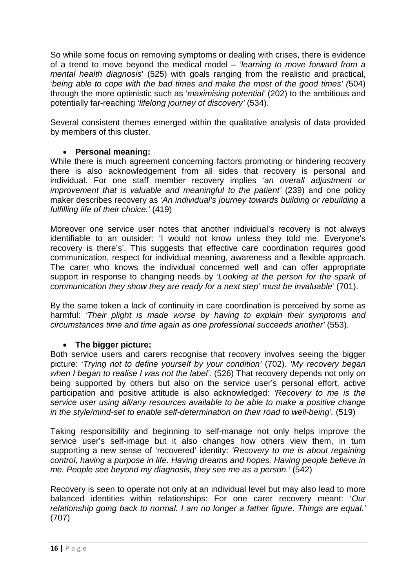So while some focus on removing symptoms or dealing with crises, there is evidence of a trend to move beyond the medical model – '*learning to move forward from a mental health diagnosis*' (525) with goals ranging from the realistic and practical, '*being able to cope with the bad times and make the most of the good times' (*504) through the more optimistic such as '*maximising potential'* (202) to the ambitious and potentially far-reaching *'lifelong journey of discovery'* (534).

Several consistent themes emerged within the qualitative analysis of data provided by members of this cluster.

# • **Personal meaning:**

While there is much agreement concerning factors promoting or hindering recovery there is also acknowledgement from all sides that recovery is personal and individual. For one staff member recovery implies *'an overall adjustment or improvement that is valuable and meaningful to the patient'* (239) and one policy maker describes recovery as *'An individual's journey towards building or rebuilding a fulfilling life of their choice.'* (419)

Moreover one service user notes that another individual's recovery is not always identifiable to an outsider: 'I would not know unless they told me. Everyone's recovery is there's'. This suggests that effective care coordination requires good communication, respect for individual meaning, awareness and a flexible approach. The carer who knows the individual concerned well and can offer appropriate support in response to changing needs by *'Looking at the person for the spark of communication they show they are ready for a next step' must be invaluable'* (701).

By the same token a lack of continuity in care coordination is perceived by some as harmful: *'Their plight is made worse by having to explain their symptoms and circumstances time and time again as one professional succeeds another'* (553).

# • **The bigger picture:**

Both service users and carers recognise that recovery involves seeing the bigger picture: '*Trying not to define yourself by your condition'* (702). *'My recovery began when I began to realise I was not the label'.* (526) That recovery depends not only on being supported by others but also on the service user's personal effort, active participation and positive attitude is also acknowledged: *'Recovery to me is the service user using all/any resources available to be able to make a positive change in the style/mind-set to enable self-determination on their road to well-being'.* (519)

Taking responsibility and beginning to self-manage not only helps improve the service user's self-image but it also changes how others view them, in turn supporting a new sense of 'recovered' identity: *'Recovery to me is about regaining control, having a purpose in life. Having dreams and hopes. Having people believe in me. People see beyond my diagnosis, they see me as a person.'* (542)

Recovery is seen to operate not only at an individual level but may also lead to more balanced identities within relationships: For one carer recovery meant: '*Our relationship going back to normal. I am no longer a father figure. Things are equal.'*  (707)